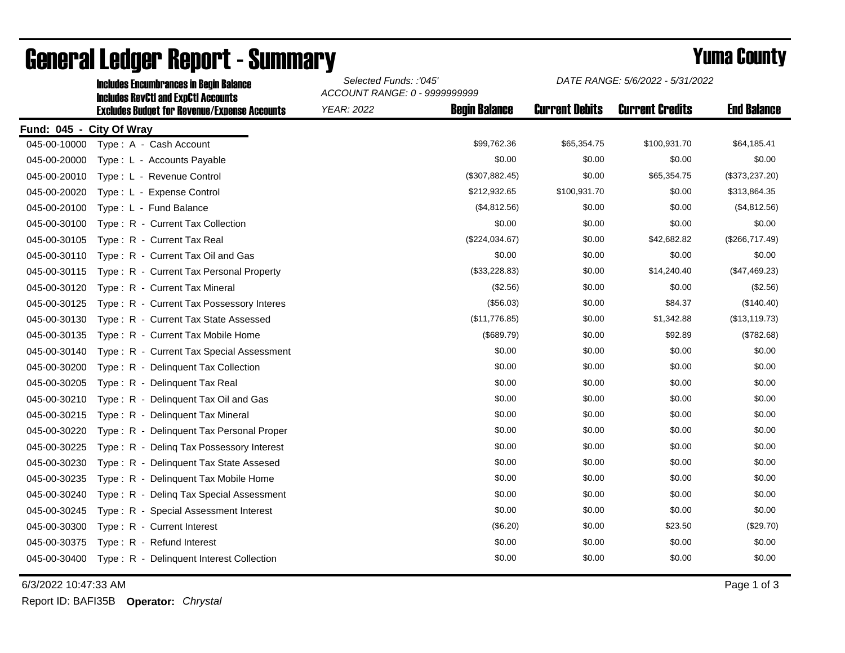|                          | <b>Includes RevCtI and ExpCtI Accounts</b><br><b>Excludes Budget for Revenue/Expense Accounts</b> | ACCOUNT RANGE: 0 - 9999999999 |                      |                       |                        |                    |  |  |
|--------------------------|---------------------------------------------------------------------------------------------------|-------------------------------|----------------------|-----------------------|------------------------|--------------------|--|--|
|                          |                                                                                                   | <b>YEAR: 2022</b>             | <b>Begin Balance</b> | <b>Current Debits</b> | <b>Current Credits</b> | <b>End Balance</b> |  |  |
| Fund: 045 - City Of Wray |                                                                                                   |                               |                      |                       |                        |                    |  |  |
| 045-00-10000             | Type: A - Cash Account                                                                            |                               | \$99,762.36          | \$65,354.75           | \$100,931.70           | \$64,185.41        |  |  |
| 045-00-20000             | Type: L - Accounts Payable                                                                        |                               | \$0.00               | \$0.00                | \$0.00                 | \$0.00             |  |  |
| 045-00-20010             | Type: L - Revenue Control                                                                         |                               | (\$307,882.45)       | \$0.00                | \$65,354.75            | (\$373,237.20)     |  |  |
| 045-00-20020             | Type: L - Expense Control                                                                         |                               | \$212,932.65         | \$100,931.70          | \$0.00                 | \$313,864.35       |  |  |
| 045-00-20100             | Type: L - Fund Balance                                                                            |                               | (\$4,812.56)         | \$0.00                | \$0.00                 | (\$4,812.56)       |  |  |
| 045-00-30100             | Type: R - Current Tax Collection                                                                  |                               | \$0.00               | \$0.00                | \$0.00                 | \$0.00             |  |  |
| 045-00-30105             | Type: R - Current Tax Real                                                                        |                               | (\$224,034.67)       | \$0.00                | \$42,682.82            | (\$266,717.49)     |  |  |
| 045-00-30110             | Type: R - Current Tax Oil and Gas                                                                 |                               | \$0.00               | \$0.00                | \$0.00                 | \$0.00             |  |  |
| 045-00-30115             | Type: R - Current Tax Personal Property                                                           |                               | (\$33,228.83)        | \$0.00                | \$14,240.40            | (\$47,469.23)      |  |  |
| 045-00-30120             | Type: R - Current Tax Mineral                                                                     |                               | (\$2.56)             | \$0.00                | \$0.00                 | (\$2.56)           |  |  |
| 045-00-30125             | Type: R - Current Tax Possessory Interes                                                          |                               | (\$56.03)            | \$0.00                | \$84.37                | (\$140.40)         |  |  |
| 045-00-30130             | Type: R - Current Tax State Assessed                                                              |                               | (\$11,776.85)        | \$0.00                | \$1,342.88             | (\$13, 119.73)     |  |  |
| 045-00-30135             | Type: R - Current Tax Mobile Home                                                                 |                               | (\$689.79)           | \$0.00                | \$92.89                | (\$782.68)         |  |  |
| 045-00-30140             | Type: R - Current Tax Special Assessment                                                          |                               | \$0.00               | \$0.00                | \$0.00                 | \$0.00             |  |  |
| 045-00-30200             | Type: R - Delinguent Tax Collection                                                               |                               | \$0.00               | \$0.00                | \$0.00                 | \$0.00             |  |  |
| 045-00-30205             | Type: R - Delinquent Tax Real                                                                     |                               | \$0.00               | \$0.00                | \$0.00                 | \$0.00             |  |  |
| 045-00-30210             | Delinquent Tax Oil and Gas<br>Type: $R -$                                                         |                               | \$0.00               | \$0.00                | \$0.00                 | \$0.00             |  |  |
| 045-00-30215             | Type: R - Delinquent Tax Mineral                                                                  |                               | \$0.00               | \$0.00                | \$0.00                 | \$0.00             |  |  |
| 045-00-30220             | Type: R - Delinquent Tax Personal Proper                                                          |                               | \$0.00               | \$0.00                | \$0.00                 | \$0.00             |  |  |
| 045-00-30225             | Type: R - Deling Tax Possessory Interest                                                          |                               | \$0.00               | \$0.00                | \$0.00                 | \$0.00             |  |  |
| 045-00-30230             | Type: R - Delinquent Tax State Assesed                                                            |                               | \$0.00               | \$0.00                | \$0.00                 | \$0.00             |  |  |
| 045-00-30235             | Type: R - Delinquent Tax Mobile Home                                                              |                               | \$0.00               | \$0.00                | \$0.00                 | \$0.00             |  |  |
| 045-00-30240             | Type: R - Deling Tax Special Assessment                                                           |                               | \$0.00               | \$0.00                | \$0.00                 | \$0.00             |  |  |
| 045-00-30245             | Type: R - Special Assessment Interest                                                             |                               | \$0.00               | \$0.00                | \$0.00                 | \$0.00             |  |  |
| 045-00-30300             | Type: R - Current Interest                                                                        |                               | (\$6.20)             | \$0.00                | \$23.50                | (\$29.70)          |  |  |
| 045-00-30375             | Type: R - Refund Interest                                                                         |                               | \$0.00               | \$0.00                | \$0.00                 | \$0.00             |  |  |
| 045-00-30400             | Type: R - Delinquent Interest Collection                                                          |                               | \$0.00               | \$0.00                | \$0.00                 | \$0.00             |  |  |
|                          |                                                                                                   |                               |                      |                       |                        |                    |  |  |

## General Ledger Report - Summary **Example 2018** Yuma County

Includes Encumbrances in Begin Balance *Selected Funds: :'045'*

6/3/2022 10:47:33 AM Page 1 of 3

Report ID: BAFI35B **Operator:** *Chrystal*

*DATE RANGE: 5/6/2022 - 5/31/2022*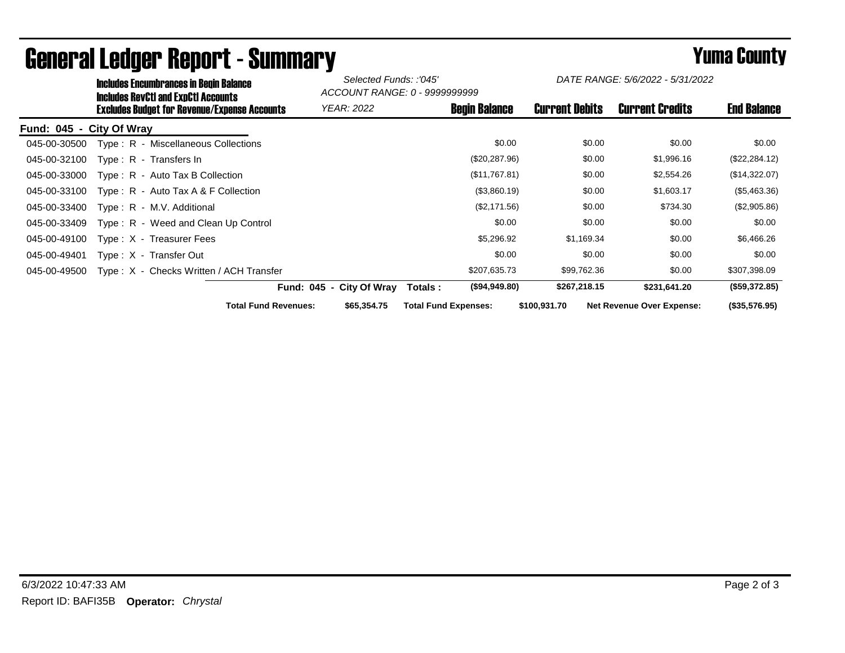| <b>Includes Encumbrances in Begin Balance</b><br><b>Includes RevCtI and ExpCtI Accounts</b> |                             | Selected Funds: :'045'<br>ACCOUNT RANGE: 0 - 9999999999 |                             | DATE RANGE: 5/6/2022 - 5/31/2022 |                                  |                    |
|---------------------------------------------------------------------------------------------|-----------------------------|---------------------------------------------------------|-----------------------------|----------------------------------|----------------------------------|--------------------|
| <b>Excludes Budget for Revenue/Expense Accounts</b>                                         |                             | YEAR: 2022                                              | <b>Begin Balance</b>        | <b>Current Debits</b>            | <b>Current Credits</b>           | <b>End Balance</b> |
| Fund: 045 - City Of Wray                                                                    |                             |                                                         |                             |                                  |                                  |                    |
| Type: R - Miscellaneous Collections<br>045-00-30500                                         |                             |                                                         | \$0.00                      | \$0.00                           | \$0.00                           | \$0.00             |
| 045-00-32100<br>Type: R - Transfers In                                                      |                             |                                                         | (\$20,287.96)               | \$0.00                           | \$1,996.16                       | (\$22, 284.12)     |
| 045-00-33000<br>$Type: R - Auto Tax B Collection$                                           |                             |                                                         | (\$11,767.81)               | \$0.00                           | \$2,554.26                       | (\$14,322.07)      |
| 045-00-33100<br>Type: $R -$ Auto Tax A & F Collection                                       |                             |                                                         | (\$3,860.19)                | \$0.00                           | \$1,603.17                       | (\$5,463.36)       |
| 045-00-33400<br>Type: R - M.V. Additional                                                   |                             |                                                         | (\$2,171.56)                | \$0.00                           | \$734.30                         | (\$2,905.86)       |
| Type: R - Weed and Clean Up Control<br>045-00-33409                                         |                             |                                                         | \$0.00                      | \$0.00                           | \$0.00                           | \$0.00             |
| 045-00-49100<br>$Type: X - Treasure Fees$                                                   |                             |                                                         | \$5,296.92                  | \$1,169.34                       | \$0.00                           | \$6,466.26         |
| 045-00-49401<br>Type: X - Transfer Out                                                      |                             |                                                         | \$0.00                      | \$0.00                           | \$0.00                           | \$0.00             |
| Type: X - Checks Written / ACH Transfer<br>045-00-49500                                     |                             |                                                         | \$207,635.73                | \$99,762.36                      | \$0.00                           | \$307,398.09       |
|                                                                                             |                             | Fund: 045 - City Of Wray                                | (\$94,949.80)<br>Totals:    | \$267,218.15                     | \$231,641.20                     | (\$59,372.85)      |
|                                                                                             | <b>Total Fund Revenues:</b> | \$65,354.75                                             | <b>Total Fund Expenses:</b> | \$100,931.70                     | <b>Net Revenue Over Expense:</b> | (\$35,576.95)      |

## General Ledger Report - Summary **Example 2018** Yuma County